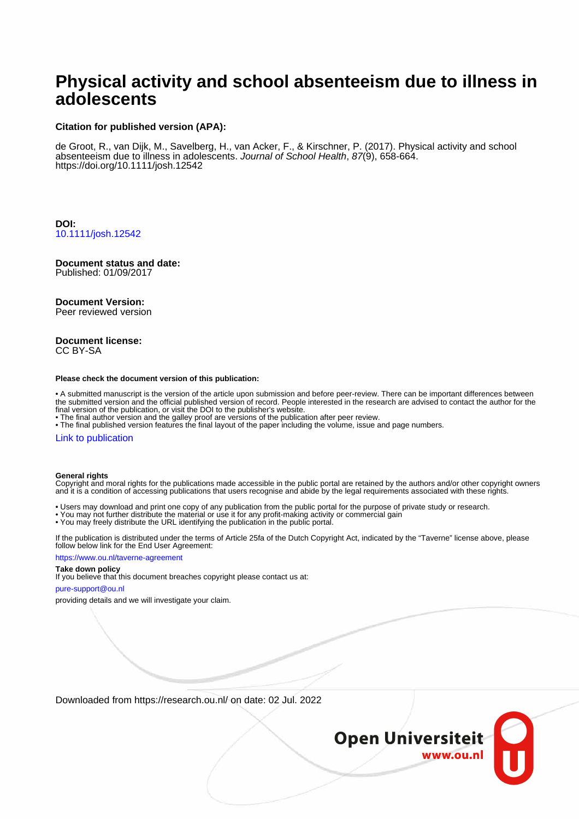# **Physical activity and school absenteeism due to illness in adolescents**

#### **Citation for published version (APA):**

de Groot, R., van Dijk, M., Savelberg, H., van Acker, F., & Kirschner, P. (2017). Physical activity and school absenteeism due to illness in adolescents. Journal of School Health, 87(9), 658-664. <https://doi.org/10.1111/josh.12542>

**DOI:** [10.1111/josh.12542](https://doi.org/10.1111/josh.12542)

# **Document status and date:**

Published: 01/09/2017

#### **Document Version:**

Peer reviewed version

#### **Document license:** CC BY-SA

#### **Please check the document version of this publication:**

• A submitted manuscript is the version of the article upon submission and before peer-review. There can be important differences between the submitted version and the official published version of record. People interested in the research are advised to contact the author for the final version of the publication, or visit the DOI to the publisher's website.

• The final author version and the galley proof are versions of the publication after peer review.

• The final published version features the final layout of the paper including the volume, issue and page numbers.

#### [Link to publication](https://research.ou.nl/en/publications/6380d0bd-8eaa-4cd2-8841-7c8b913ba130)

#### **General rights**

Copyright and moral rights for the publications made accessible in the public portal are retained by the authors and/or other copyright owners and it is a condition of accessing publications that users recognise and abide by the legal requirements associated with these rights.

- Users may download and print one copy of any publication from the public portal for the purpose of private study or research.
- You may not further distribute the material or use it for any profit-making activity or commercial gain
- You may freely distribute the URL identifying the publication in the public portal.

If the publication is distributed under the terms of Article 25fa of the Dutch Copyright Act, indicated by the "Taverne" license above, please follow below link for the End User Agreement:

#### https://www.ou.nl/taverne-agreement

### **Take down policy**

If you believe that this document breaches copyright please contact us at:

#### pure-support@ou.nl

providing details and we will investigate your claim.

Downloaded from https://research.ou.nl/ on date: 02 Jul. 2022

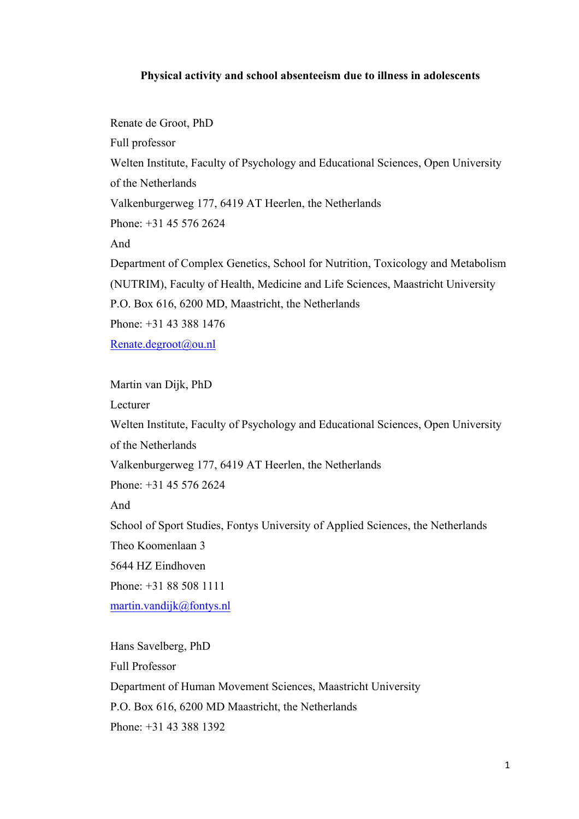## **Physical activity and school absenteeism due to illness in adolescents**

Renate de Groot, PhD Full professor Welten Institute, Faculty of Psychology and Educational Sciences, Open University of the Netherlands Valkenburgerweg 177, 6419 AT Heerlen, the Netherlands Phone: +31 45 576 2624 And Department of Complex Genetics, School for Nutrition, Toxicology and Metabolism (NUTRIM), Faculty of Health, Medicine and Life Sciences, Maastricht University P.O. Box 616, 6200 MD, Maastricht, the Netherlands Phone: +31 43 388 1476 Renate.degroot@ou.nl

Martin van Dijk, PhD

Lecturer

Welten Institute, Faculty of Psychology and Educational Sciences, Open University of the Netherlands

Valkenburgerweg 177, 6419 AT Heerlen, the Netherlands

Phone: +31 45 576 2624

And

School of Sport Studies, Fontys University of Applied Sciences, the Netherlands Theo Koomenlaan 3 5644 HZ Eindhoven

Phone: +31 88 508 1111

martin.vandijk@fontys.nl

Hans Savelberg, PhD Full Professor Department of Human Movement Sciences, Maastricht University P.O. Box 616, 6200 MD Maastricht, the Netherlands Phone: +31 43 388 1392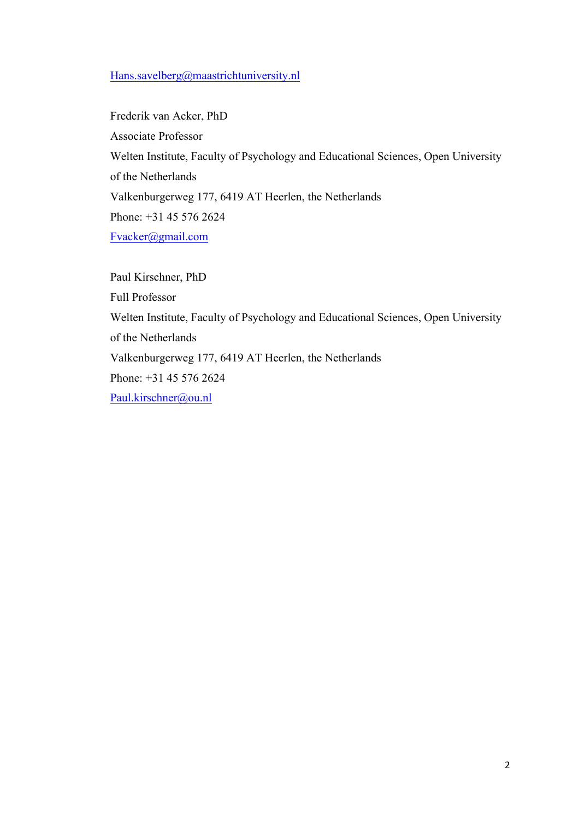# Hans.savelberg@maastrichtuniversity.nl

Frederik van Acker, PhD Associate Professor Welten Institute, Faculty of Psychology and Educational Sciences, Open University of the Netherlands Valkenburgerweg 177, 6419 AT Heerlen, the Netherlands Phone: +31 45 576 2624 Fvacker@gmail.com

Paul Kirschner, PhD Full Professor Welten Institute, Faculty of Psychology and Educational Sciences, Open University of the Netherlands Valkenburgerweg 177, 6419 AT Heerlen, the Netherlands Phone: +31 45 576 2624 Paul.kirschner@ou.nl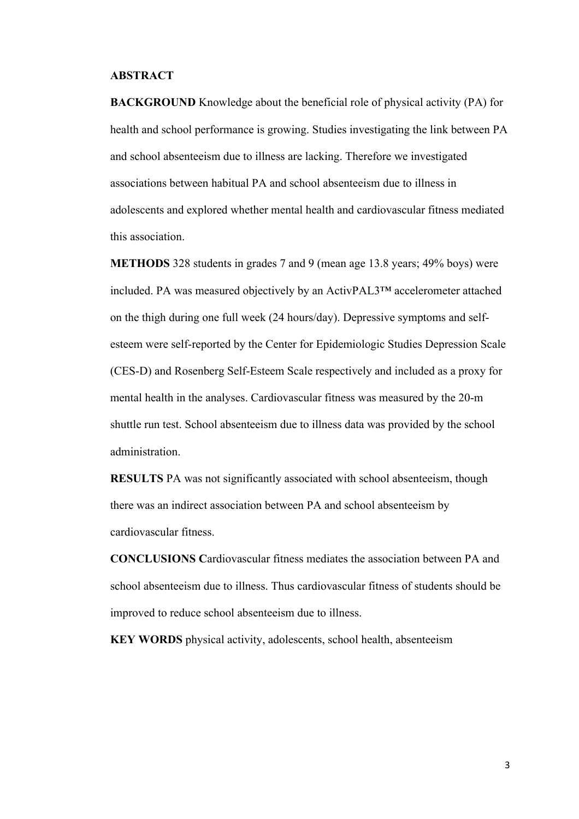# **ABSTRACT**

**BACKGROUND** Knowledge about the beneficial role of physical activity (PA) for health and school performance is growing. Studies investigating the link between PA and school absenteeism due to illness are lacking. Therefore we investigated associations between habitual PA and school absenteeism due to illness in adolescents and explored whether mental health and cardiovascular fitness mediated this association.

**METHODS** 328 students in grades 7 and 9 (mean age 13.8 years; 49% boys) were included. PA was measured objectively by an ActivPAL3™ accelerometer attached on the thigh during one full week (24 hours/day). Depressive symptoms and selfesteem were self-reported by the Center for Epidemiologic Studies Depression Scale (CES-D) and Rosenberg Self-Esteem Scale respectively and included as a proxy for mental health in the analyses. Cardiovascular fitness was measured by the 20-m shuttle run test. School absenteeism due to illness data was provided by the school administration.

**RESULTS** PA was not significantly associated with school absenteeism, though there was an indirect association between PA and school absenteeism by cardiovascular fitness.

**CONCLUSIONS C**ardiovascular fitness mediates the association between PA and school absenteeism due to illness. Thus cardiovascular fitness of students should be improved to reduce school absenteeism due to illness.

**KEY WORDS** physical activity, adolescents, school health, absenteeism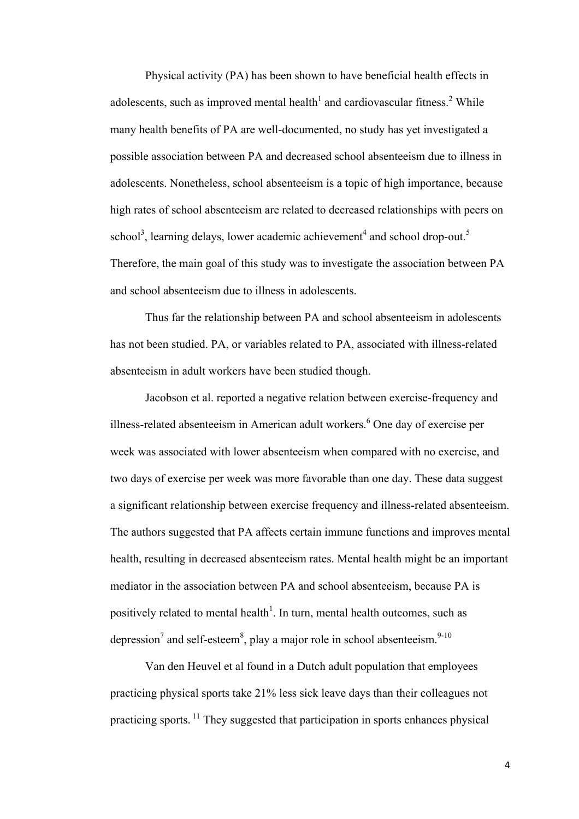Physical activity (PA) has been shown to have beneficial health effects in adolescents, such as improved mental health<sup>1</sup> and cardiovascular fitness.<sup>2</sup> While many health benefits of PA are well-documented, no study has yet investigated a possible association between PA and decreased school absenteeism due to illness in adolescents. Nonetheless, school absenteeism is a topic of high importance, because high rates of school absenteeism are related to decreased relationships with peers on school<sup>3</sup>, learning delays, lower academic achievement<sup>4</sup> and school drop-out.<sup>5</sup> Therefore, the main goal of this study was to investigate the association between PA and school absenteeism due to illness in adolescents.

Thus far the relationship between PA and school absenteeism in adolescents has not been studied. PA, or variables related to PA, associated with illness-related absenteeism in adult workers have been studied though.

Jacobson et al. reported a negative relation between exercise-frequency and illness-related absenteeism in American adult workers. <sup>6</sup> One day of exercise per week was associated with lower absenteeism when compared with no exercise, and two days of exercise per week was more favorable than one day. These data suggest a significant relationship between exercise frequency and illness-related absenteeism. The authors suggested that PA affects certain immune functions and improves mental health, resulting in decreased absenteeism rates. Mental health might be an important mediator in the association between PA and school absenteeism, because PA is positively related to mental health<sup>1</sup>. In turn, mental health outcomes, such as depression<sup>7</sup> and self-esteem<sup>8</sup>, play a major role in school absenteeism.<sup>9-10</sup>

Van den Heuvel et al found in a Dutch adult population that employees practicing physical sports take 21% less sick leave days than their colleagues not practicing sports. <sup>11</sup> They suggested that participation in sports enhances physical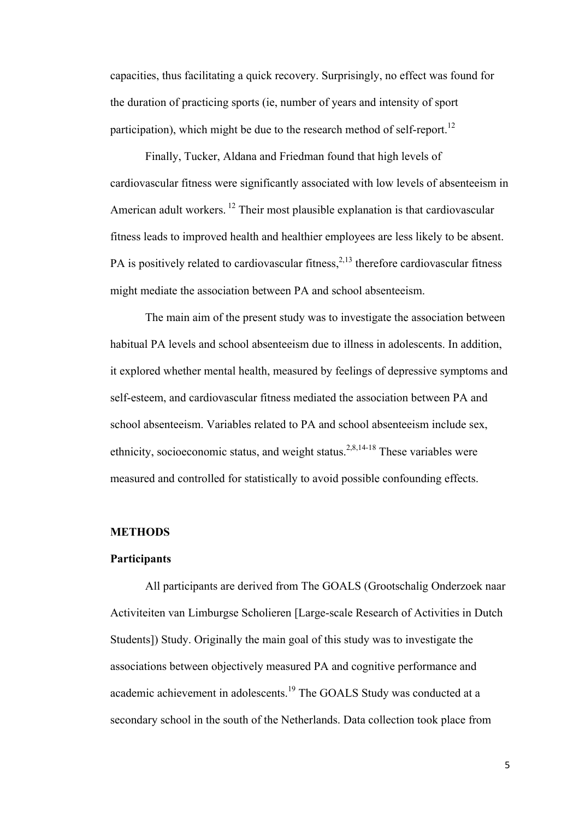capacities, thus facilitating a quick recovery. Surprisingly, no effect was found for the duration of practicing sports (ie, number of years and intensity of sport participation), which might be due to the research method of self-report.<sup>12</sup>

Finally, Tucker, Aldana and Friedman found that high levels of cardiovascular fitness were significantly associated with low levels of absenteeism in American adult workers.  $12$  Their most plausible explanation is that cardiovascular fitness leads to improved health and healthier employees are less likely to be absent. PA is positively related to cardiovascular fitness,  $2,13$  therefore cardiovascular fitness might mediate the association between PA and school absenteeism.

The main aim of the present study was to investigate the association between habitual PA levels and school absenteeism due to illness in adolescents. In addition, it explored whether mental health, measured by feelings of depressive symptoms and self-esteem, and cardiovascular fitness mediated the association between PA and school absenteeism. Variables related to PA and school absenteeism include sex, ethnicity, socioeconomic status, and weight status.<sup>2,8,14-18</sup> These variables were measured and controlled for statistically to avoid possible confounding effects.

# **METHODS**

### **Participants**

All participants are derived from The GOALS (Grootschalig Onderzoek naar Activiteiten van Limburgse Scholieren [Large-scale Research of Activities in Dutch Students]) Study. Originally the main goal of this study was to investigate the associations between objectively measured PA and cognitive performance and academic achievement in adolescents.<sup>19</sup> The GOALS Study was conducted at a secondary school in the south of the Netherlands. Data collection took place from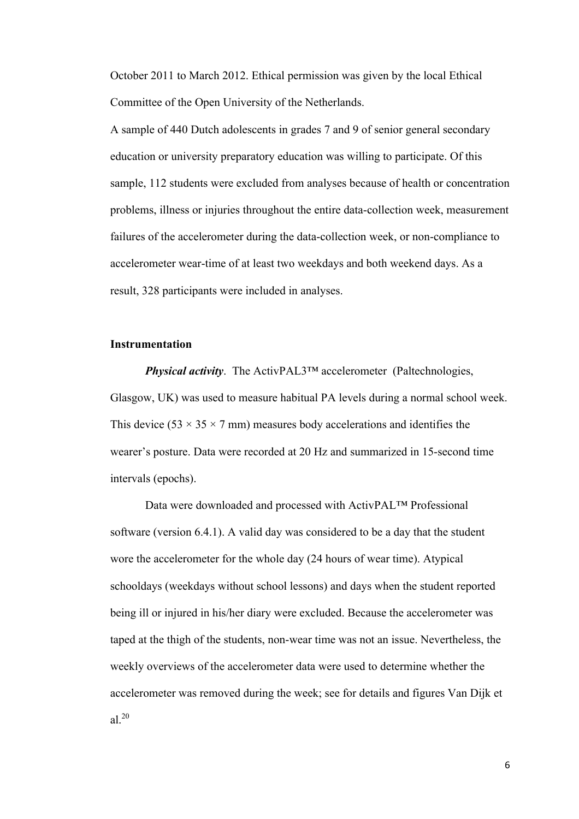October 2011 to March 2012. Ethical permission was given by the local Ethical Committee of the Open University of the Netherlands.

A sample of 440 Dutch adolescents in grades 7 and 9 of senior general secondary education or university preparatory education was willing to participate. Of this sample, 112 students were excluded from analyses because of health or concentration problems, illness or injuries throughout the entire data-collection week, measurement failures of the accelerometer during the data-collection week, or non-compliance to accelerometer wear-time of at least two weekdays and both weekend days. As a result, 328 participants were included in analyses.

## **Instrumentation**

*Physical activity*. The ActivPAL3™ accelerometer (Paltechnologies, Glasgow, UK) was used to measure habitual PA levels during a normal school week. This device (53  $\times$  35  $\times$  7 mm) measures body accelerations and identifies the wearer's posture. Data were recorded at 20 Hz and summarized in 15-second time intervals (epochs).

Data were downloaded and processed with ActivPAL™ Professional software (version 6.4.1). A valid day was considered to be a day that the student wore the accelerometer for the whole day (24 hours of wear time). Atypical schooldays (weekdays without school lessons) and days when the student reported being ill or injured in his/her diary were excluded. Because the accelerometer was taped at the thigh of the students, non-wear time was not an issue. Nevertheless, the weekly overviews of the accelerometer data were used to determine whether the accelerometer was removed during the week; see for details and figures Van Dijk et al $^{20}$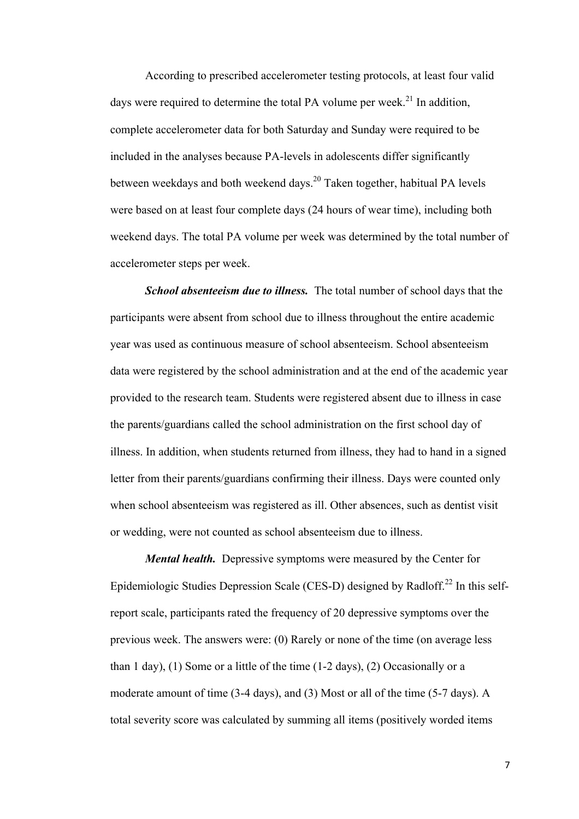According to prescribed accelerometer testing protocols, at least four valid days were required to determine the total PA volume per week.<sup>21</sup> In addition, complete accelerometer data for both Saturday and Sunday were required to be included in the analyses because PA-levels in adolescents differ significantly between weekdays and both weekend days.<sup>20</sup> Taken together, habitual PA levels were based on at least four complete days (24 hours of wear time), including both weekend days. The total PA volume per week was determined by the total number of accelerometer steps per week.

*School absenteeism due to illness.* The total number of school days that the participants were absent from school due to illness throughout the entire academic year was used as continuous measure of school absenteeism. School absenteeism data were registered by the school administration and at the end of the academic year provided to the research team. Students were registered absent due to illness in case the parents/guardians called the school administration on the first school day of illness. In addition, when students returned from illness, they had to hand in a signed letter from their parents/guardians confirming their illness. Days were counted only when school absenteeism was registered as ill. Other absences, such as dentist visit or wedding, were not counted as school absenteeism due to illness.

*Mental health.* Depressive symptoms were measured by the Center for Epidemiologic Studies Depression Scale (CES-D) designed by Radloff.<sup>22</sup> In this selfreport scale, participants rated the frequency of 20 depressive symptoms over the previous week. The answers were: (0) Rarely or none of the time (on average less than 1 day), (1) Some or a little of the time (1-2 days), (2) Occasionally or a moderate amount of time (3-4 days), and (3) Most or all of the time (5-7 days). A total severity score was calculated by summing all items (positively worded items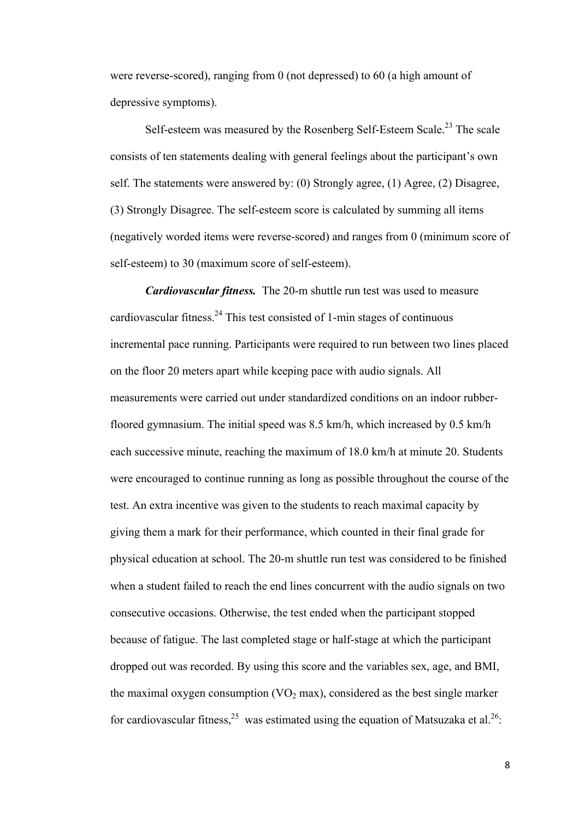were reverse-scored), ranging from 0 (not depressed) to 60 (a high amount of depressive symptoms).

Self-esteem was measured by the Rosenberg Self-Esteem Scale.<sup>23</sup> The scale consists of ten statements dealing with general feelings about the participant's own self. The statements were answered by: (0) Strongly agree, (1) Agree, (2) Disagree, (3) Strongly Disagree. The self-esteem score is calculated by summing all items (negatively worded items were reverse-scored) and ranges from 0 (minimum score of self-esteem) to 30 (maximum score of self-esteem).

*Cardiovascular fitness.* The 20-m shuttle run test was used to measure cardiovascular fitness.<sup>24</sup> This test consisted of 1-min stages of continuous incremental pace running. Participants were required to run between two lines placed on the floor 20 meters apart while keeping pace with audio signals. All measurements were carried out under standardized conditions on an indoor rubberfloored gymnasium. The initial speed was 8.5 km/h, which increased by 0.5 km/h each successive minute, reaching the maximum of 18.0 km/h at minute 20. Students were encouraged to continue running as long as possible throughout the course of the test. An extra incentive was given to the students to reach maximal capacity by giving them a mark for their performance, which counted in their final grade for physical education at school. The 20-m shuttle run test was considered to be finished when a student failed to reach the end lines concurrent with the audio signals on two consecutive occasions. Otherwise, the test ended when the participant stopped because of fatigue. The last completed stage or half-stage at which the participant dropped out was recorded. By using this score and the variables sex, age, and BMI, the maximal oxygen consumption  $(VO<sub>2</sub> max)$ , considered as the best single marker for cardiovascular fitness,  $25$  was estimated using the equation of Matsuzaka et al.  $26$ .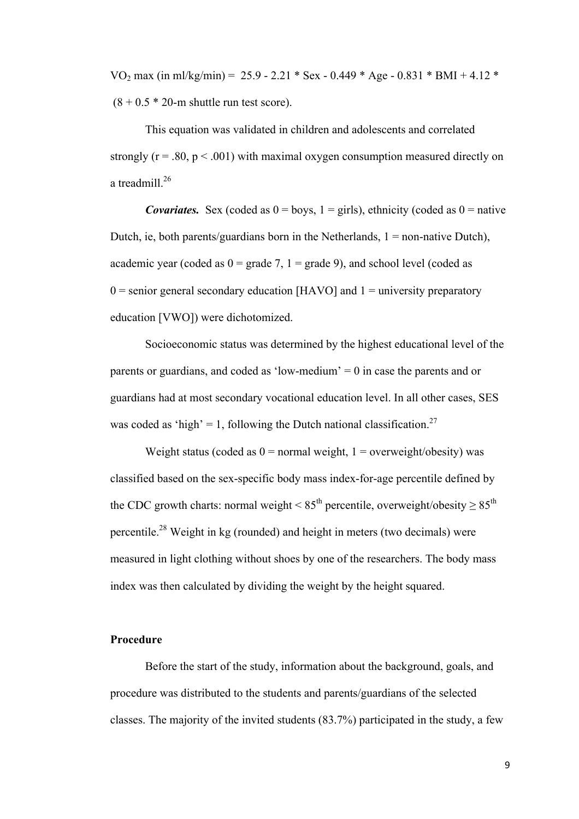VO<sub>2</sub> max (in ml/kg/min) = 25.9 - 2.21 \* Sex - 0.449 \* Age - 0.831 \* BMI + 4.12 \*  $(8 + 0.5 * 20$ -m shuttle run test score).

This equation was validated in children and adolescents and correlated strongly  $(r = .80, p < .001)$  with maximal oxygen consumption measured directly on a treadmill.<sup>26</sup>

*Covariates.* Sex (coded as  $0 = \text{boys}$ ,  $1 = \text{girls}$ ), ethnicity (coded as  $0 = \text{native}$ ) Dutch, ie, both parents/guardians born in the Netherlands,  $1 =$  non-native Dutch), academic year (coded as  $0 = \text{grade } 7$ ,  $1 = \text{grade } 9$ ), and school level (coded as  $0 =$  senior general secondary education [HAVO] and  $1 =$  university preparatory education [VWO]) were dichotomized.

Socioeconomic status was determined by the highest educational level of the parents or guardians, and coded as 'low-medium'  $= 0$  in case the parents and or guardians had at most secondary vocational education level. In all other cases, SES was coded as 'high' = 1, following the Dutch national classification.<sup>27</sup>

Weight status (coded as  $0 =$  normal weight,  $1 =$  overweight/obesity) was classified based on the sex-specific body mass index-for-age percentile defined by the CDC growth charts: normal weight <  $85<sup>th</sup>$  percentile, overweight/obesity  $\geq 85<sup>th</sup>$ percentile.<sup>28</sup> Weight in kg (rounded) and height in meters (two decimals) were measured in light clothing without shoes by one of the researchers. The body mass index was then calculated by dividing the weight by the height squared.

# **Procedure**

Before the start of the study, information about the background, goals, and procedure was distributed to the students and parents/guardians of the selected classes. The majority of the invited students (83.7%) participated in the study, a few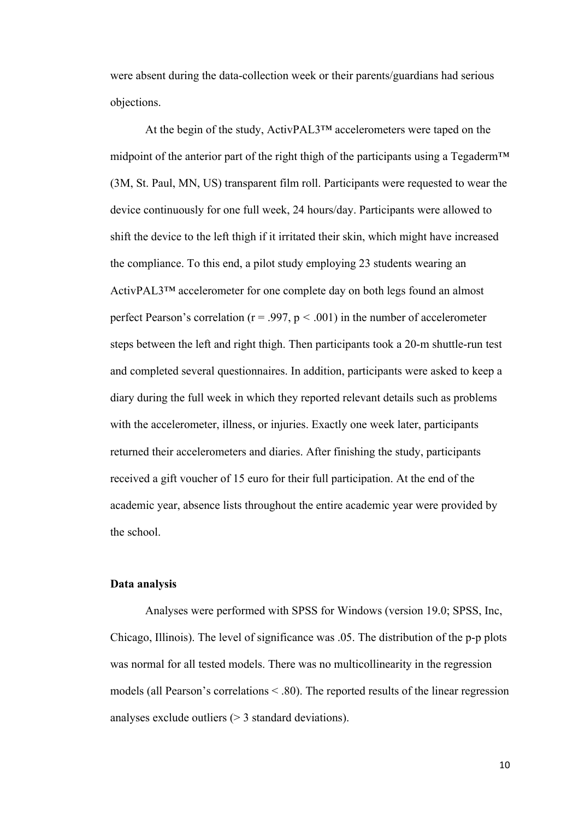were absent during the data-collection week or their parents/guardians had serious objections.

At the begin of the study, ActivPAL3™ accelerometers were taped on the midpoint of the anterior part of the right thigh of the participants using a Tegaderm™ (3M, St. Paul, MN, US) transparent film roll. Participants were requested to wear the device continuously for one full week, 24 hours/day. Participants were allowed to shift the device to the left thigh if it irritated their skin, which might have increased the compliance. To this end, a pilot study employing 23 students wearing an ActivPAL3™ accelerometer for one complete day on both legs found an almost perfect Pearson's correlation ( $r = .997$ ,  $p < .001$ ) in the number of accelerometer steps between the left and right thigh. Then participants took a 20-m shuttle-run test and completed several questionnaires. In addition, participants were asked to keep a diary during the full week in which they reported relevant details such as problems with the accelerometer, illness, or injuries. Exactly one week later, participants returned their accelerometers and diaries. After finishing the study, participants received a gift voucher of 15 euro for their full participation. At the end of the academic year, absence lists throughout the entire academic year were provided by the school.

# **Data analysis**

Analyses were performed with SPSS for Windows (version 19.0; SPSS, Inc, Chicago, Illinois). The level of significance was .05. The distribution of the p-p plots was normal for all tested models. There was no multicollinearity in the regression models (all Pearson's correlations < .80). The reported results of the linear regression analyses exclude outliers (> 3 standard deviations).

10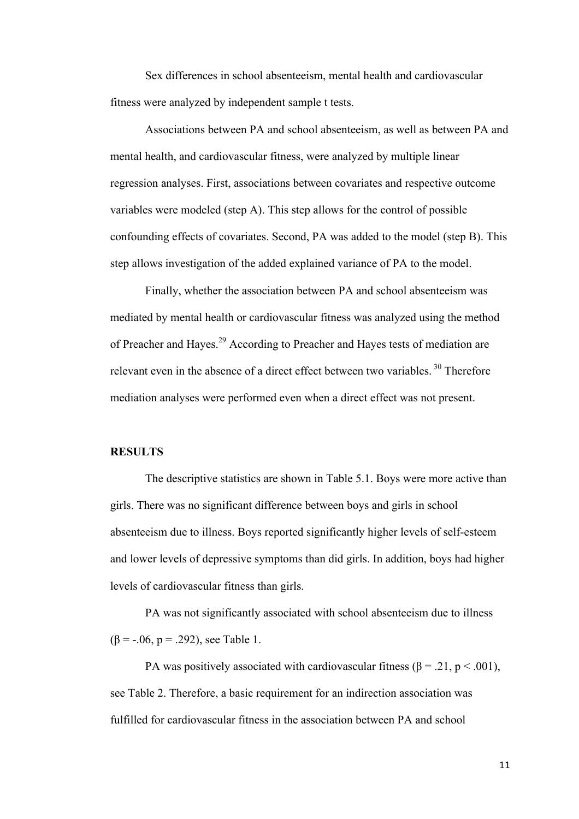Sex differences in school absenteeism, mental health and cardiovascular fitness were analyzed by independent sample t tests.

Associations between PA and school absenteeism, as well as between PA and mental health, and cardiovascular fitness, were analyzed by multiple linear regression analyses. First, associations between covariates and respective outcome variables were modeled (step A). This step allows for the control of possible confounding effects of covariates. Second, PA was added to the model (step B). This step allows investigation of the added explained variance of PA to the model.

Finally, whether the association between PA and school absenteeism was mediated by mental health or cardiovascular fitness was analyzed using the method of Preacher and Hayes.<sup>29</sup> According to Preacher and Hayes tests of mediation are relevant even in the absence of a direct effect between two variables.  $30$  Therefore mediation analyses were performed even when a direct effect was not present.

# **RESULTS**

The descriptive statistics are shown in Table 5.1. Boys were more active than girls. There was no significant difference between boys and girls in school absenteeism due to illness. Boys reported significantly higher levels of self-esteem and lower levels of depressive symptoms than did girls. In addition, boys had higher levels of cardiovascular fitness than girls.

PA was not significantly associated with school absenteeism due to illness  $(\beta = -.06, p = .292)$ , see Table 1.

PA was positively associated with cardiovascular fitness ( $\beta$  = .21, p < .001), see Table 2. Therefore, a basic requirement for an indirection association was fulfilled for cardiovascular fitness in the association between PA and school

11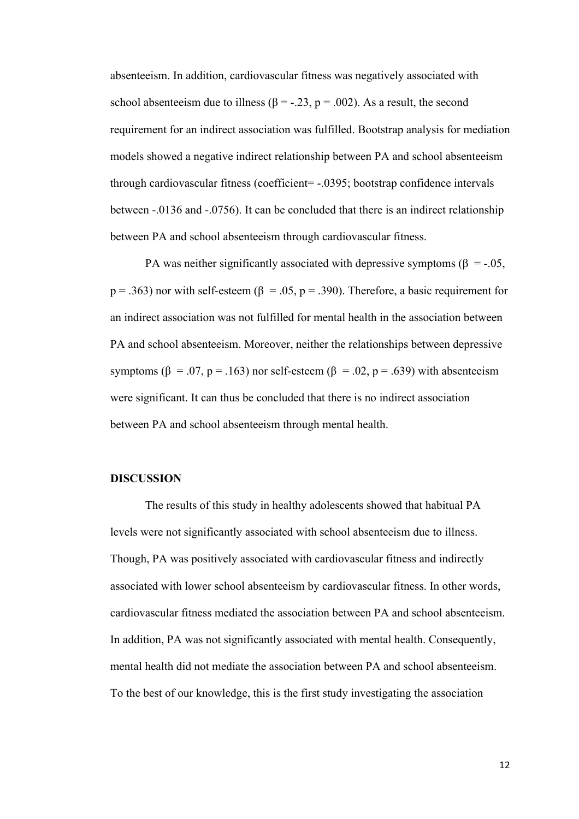absenteeism. In addition, cardiovascular fitness was negatively associated with school absenteeism due to illness ( $\beta$  = -.23, p = .002). As a result, the second requirement for an indirect association was fulfilled. Bootstrap analysis for mediation models showed a negative indirect relationship between PA and school absenteeism through cardiovascular fitness (coefficient= -.0395; bootstrap confidence intervals between -.0136 and -.0756). It can be concluded that there is an indirect relationship between PA and school absenteeism through cardiovascular fitness.

PA was neither significantly associated with depressive symptoms ( $\beta$  = -.05,  $p = .363$ ) nor with self-esteem ( $\beta = .05$ ,  $p = .390$ ). Therefore, a basic requirement for an indirect association was not fulfilled for mental health in the association between PA and school absenteeism. Moreover, neither the relationships between depressive symptoms ( $\beta$  = .07, p = .163) nor self-esteem ( $\beta$  = .02, p = .639) with absenteeism were significant. It can thus be concluded that there is no indirect association between PA and school absenteeism through mental health.

### **DISCUSSION**

The results of this study in healthy adolescents showed that habitual PA levels were not significantly associated with school absenteeism due to illness. Though, PA was positively associated with cardiovascular fitness and indirectly associated with lower school absenteeism by cardiovascular fitness. In other words, cardiovascular fitness mediated the association between PA and school absenteeism. In addition, PA was not significantly associated with mental health. Consequently, mental health did not mediate the association between PA and school absenteeism. To the best of our knowledge, this is the first study investigating the association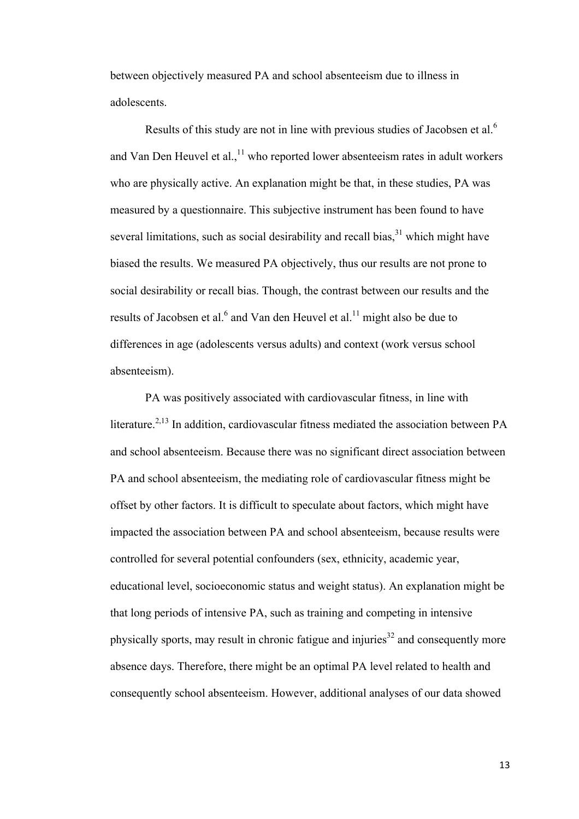between objectively measured PA and school absenteeism due to illness in adolescents.

Results of this study are not in line with previous studies of Jacobsen et al.<sup>6</sup> and Van Den Heuvel et al., $<sup>11</sup>$  who reported lower absenteeism rates in adult workers</sup> who are physically active. An explanation might be that, in these studies, PA was measured by a questionnaire. This subjective instrument has been found to have several limitations, such as social desirability and recall bias,<sup>31</sup> which might have biased the results. We measured PA objectively, thus our results are not prone to social desirability or recall bias. Though, the contrast between our results and the results of Jacobsen et al.<sup>6</sup> and Van den Heuvel et al.<sup>11</sup> might also be due to differences in age (adolescents versus adults) and context (work versus school absenteeism).

PA was positively associated with cardiovascular fitness, in line with literature.<sup>2,13</sup> In addition, cardiovascular fitness mediated the association between PA and school absenteeism. Because there was no significant direct association between PA and school absenteeism, the mediating role of cardiovascular fitness might be offset by other factors. It is difficult to speculate about factors, which might have impacted the association between PA and school absenteeism, because results were controlled for several potential confounders (sex, ethnicity, academic year, educational level, socioeconomic status and weight status). An explanation might be that long periods of intensive PA, such as training and competing in intensive physically sports, may result in chronic fatigue and injuries<sup>32</sup> and consequently more absence days. Therefore, there might be an optimal PA level related to health and consequently school absenteeism. However, additional analyses of our data showed

13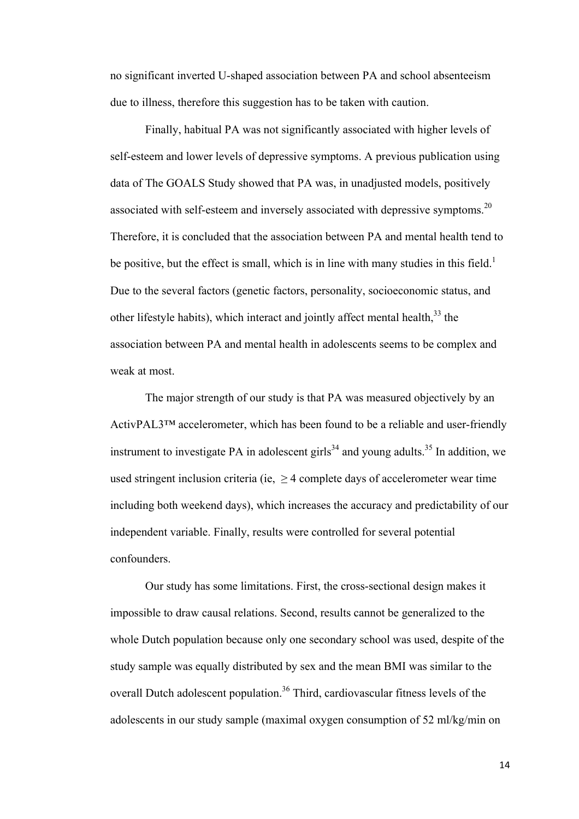no significant inverted U-shaped association between PA and school absenteeism due to illness, therefore this suggestion has to be taken with caution.

Finally, habitual PA was not significantly associated with higher levels of self-esteem and lower levels of depressive symptoms. A previous publication using data of The GOALS Study showed that PA was, in unadjusted models, positively associated with self-esteem and inversely associated with depressive symptoms.<sup>20</sup> Therefore, it is concluded that the association between PA and mental health tend to be positive, but the effect is small, which is in line with many studies in this field.<sup>1</sup> Due to the several factors (genetic factors, personality, socioeconomic status, and other lifestyle habits), which interact and jointly affect mental health,<sup>33</sup> the association between PA and mental health in adolescents seems to be complex and weak at most.

The major strength of our study is that PA was measured objectively by an ActivPAL3™ accelerometer, which has been found to be a reliable and user-friendly instrument to investigate PA in adolescent girls<sup>34</sup> and young adults.<sup>35</sup> In addition, we used stringent inclusion criteria (ie,  $\geq$  4 complete days of accelerometer wear time including both weekend days), which increases the accuracy and predictability of our independent variable. Finally, results were controlled for several potential confounders.

Our study has some limitations. First, the cross-sectional design makes it impossible to draw causal relations. Second, results cannot be generalized to the whole Dutch population because only one secondary school was used, despite of the study sample was equally distributed by sex and the mean BMI was similar to the overall Dutch adolescent population.<sup>36</sup> Third, cardiovascular fitness levels of the adolescents in our study sample (maximal oxygen consumption of 52 ml/kg/min on

14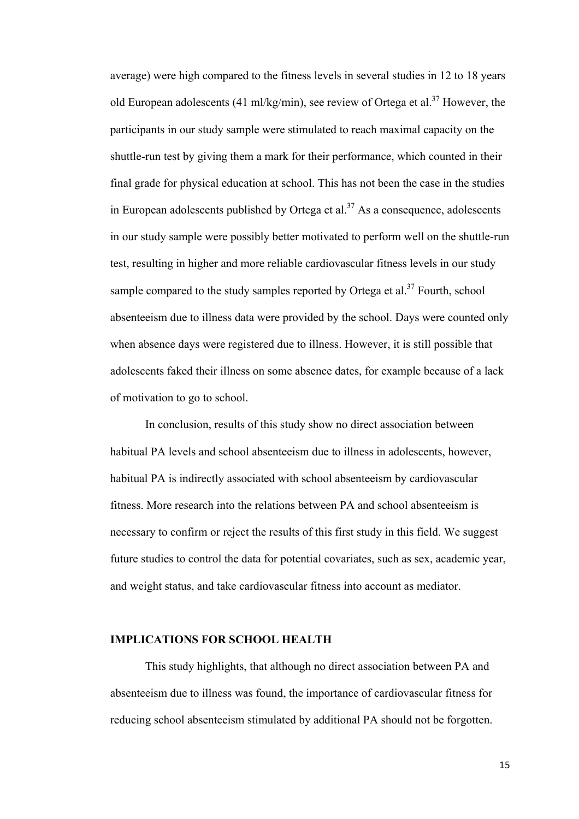average) were high compared to the fitness levels in several studies in 12 to 18 years old European adolescents (41 ml/kg/min), see review of Ortega et al.<sup>37</sup> However, the participants in our study sample were stimulated to reach maximal capacity on the shuttle-run test by giving them a mark for their performance, which counted in their final grade for physical education at school. This has not been the case in the studies in European adolescents published by Ortega et al.<sup>37</sup> As a consequence, adolescents in our study sample were possibly better motivated to perform well on the shuttle-run test, resulting in higher and more reliable cardiovascular fitness levels in our study sample compared to the study samples reported by Ortega et al.<sup>37</sup> Fourth, school absenteeism due to illness data were provided by the school. Days were counted only when absence days were registered due to illness. However, it is still possible that adolescents faked their illness on some absence dates, for example because of a lack of motivation to go to school.

In conclusion, results of this study show no direct association between habitual PA levels and school absenteeism due to illness in adolescents, however, habitual PA is indirectly associated with school absenteeism by cardiovascular fitness. More research into the relations between PA and school absenteeism is necessary to confirm or reject the results of this first study in this field. We suggest future studies to control the data for potential covariates, such as sex, academic year, and weight status, and take cardiovascular fitness into account as mediator.

### **IMPLICATIONS FOR SCHOOL HEALTH**

This study highlights, that although no direct association between PA and absenteeism due to illness was found, the importance of cardiovascular fitness for reducing school absenteeism stimulated by additional PA should not be forgotten.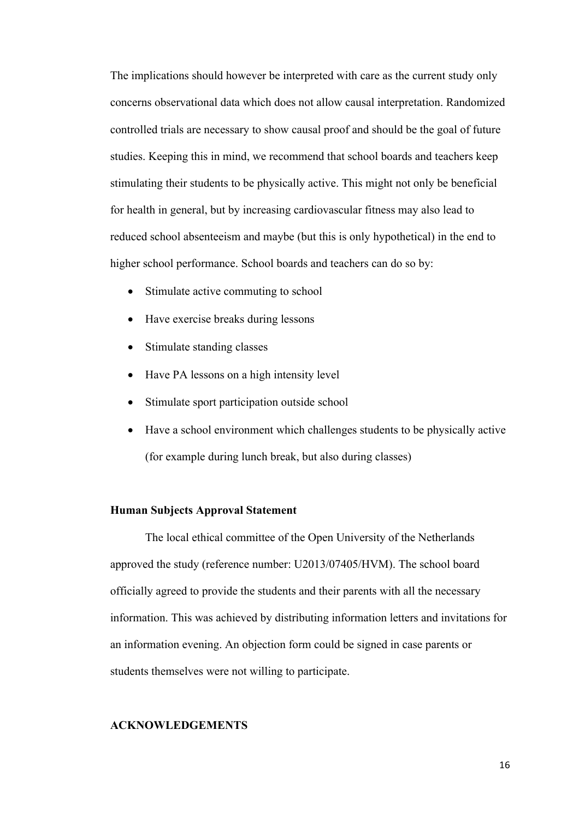The implications should however be interpreted with care as the current study only concerns observational data which does not allow causal interpretation. Randomized controlled trials are necessary to show causal proof and should be the goal of future studies. Keeping this in mind, we recommend that school boards and teachers keep stimulating their students to be physically active. This might not only be beneficial for health in general, but by increasing cardiovascular fitness may also lead to reduced school absenteeism and maybe (but this is only hypothetical) in the end to higher school performance. School boards and teachers can do so by:

- Stimulate active commuting to school
- Have exercise breaks during lessons
- Stimulate standing classes
- Have PA lessons on a high intensity level
- Stimulate sport participation outside school
- Have a school environment which challenges students to be physically active (for example during lunch break, but also during classes)

## **Human Subjects Approval Statement**

The local ethical committee of the Open University of the Netherlands approved the study (reference number: U2013/07405/HVM). The school board officially agreed to provide the students and their parents with all the necessary information. This was achieved by distributing information letters and invitations for an information evening. An objection form could be signed in case parents or students themselves were not willing to participate.

### **ACKNOWLEDGEMENTS**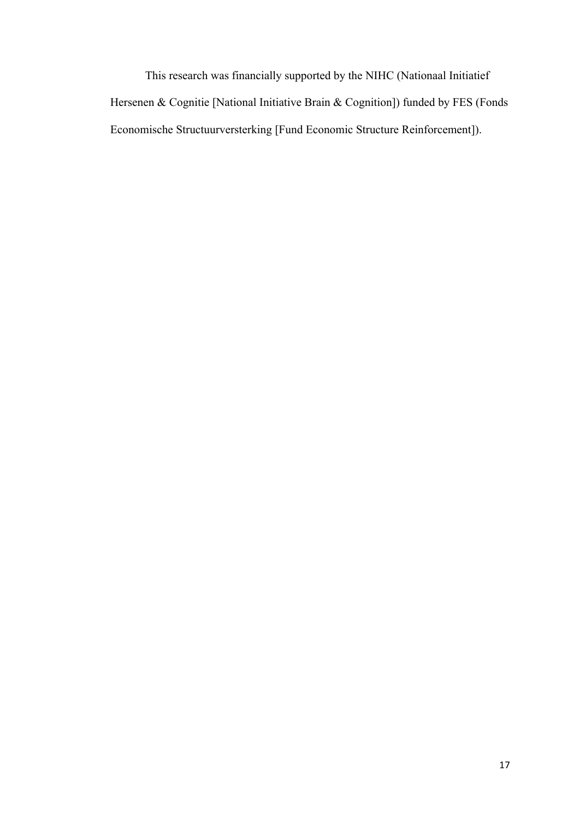This research was financially supported by the NIHC (Nationaal Initiatief Hersenen & Cognitie [National Initiative Brain & Cognition]) funded by FES (Fonds Economische Structuurversterking [Fund Economic Structure Reinforcement]).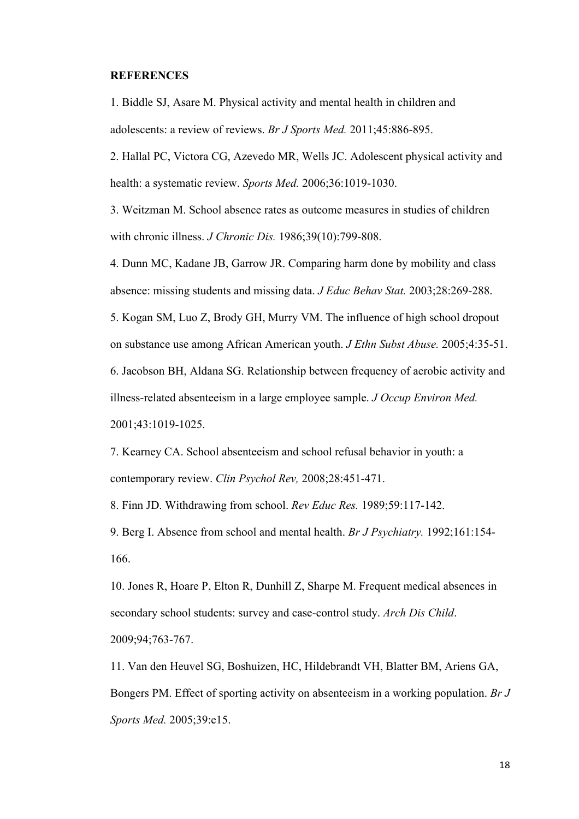### **REFERENCES**

1. Biddle SJ, Asare M. Physical activity and mental health in children and adolescents: a review of reviews. *Br J Sports Med.* 2011;45:886-895.

2. Hallal PC, Victora CG, Azevedo MR, Wells JC. Adolescent physical activity and health: a systematic review. *Sports Med.* 2006;36:1019-1030.

3. Weitzman M. School absence rates as outcome measures in studies of children with chronic illness. *J Chronic Dis.* 1986;39(10):799-808.

4. Dunn MC, Kadane JB, Garrow JR. Comparing harm done by mobility and class absence: missing students and missing data. *J Educ Behav Stat.* 2003;28:269-288.

5. Kogan SM, Luo Z, Brody GH, Murry VM. The influence of high school dropout on substance use among African American youth. *J Ethn Subst Abuse.* 2005;4:35-51. 6. Jacobson BH, Aldana SG. Relationship between frequency of aerobic activity and illness-related absenteeism in a large employee sample. *J Occup Environ Med.*  2001;43:1019-1025.

7. Kearney CA. School absenteeism and school refusal behavior in youth: a contemporary review. *Clin Psychol Rev,* 2008;28:451-471.

8. Finn JD. Withdrawing from school. *Rev Educ Res.* 1989;59:117-142.

9. Berg I. Absence from school and mental health. *Br J Psychiatry.* 1992;161:154- 166.

10. Jones R, Hoare P, Elton R, Dunhill Z, Sharpe M. Frequent medical absences in secondary school students: survey and case-control study. *Arch Dis Child*. 2009;94;763-767.

11. Van den Heuvel SG, Boshuizen, HC, Hildebrandt VH, Blatter BM, Ariens GA, Bongers PM. Effect of sporting activity on absenteeism in a working population. *Br J Sports Med.* 2005;39:e15.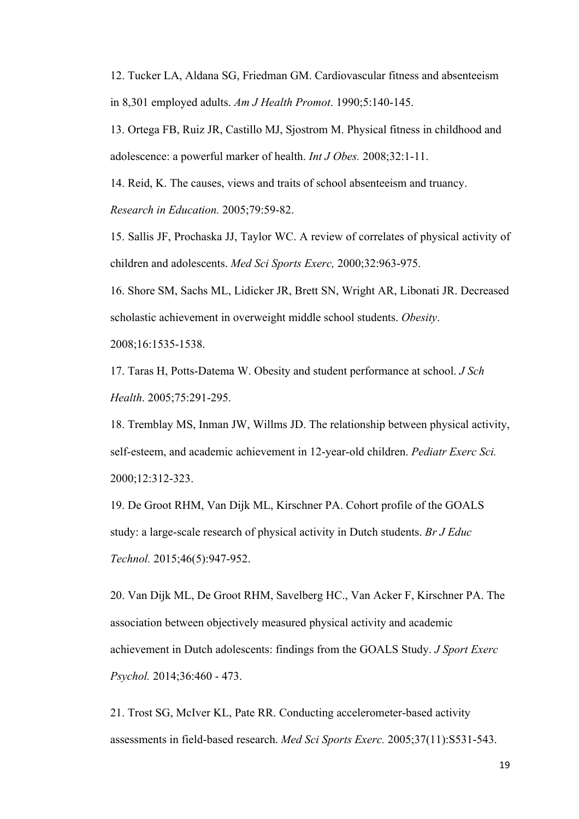12. Tucker LA, Aldana SG, Friedman GM. Cardiovascular fitness and absenteeism in 8,301 employed adults. *Am J Health Promot*. 1990;5:140-145.

13. Ortega FB, Ruiz JR, Castillo MJ, Sjostrom M. Physical fitness in childhood and adolescence: a powerful marker of health. *Int J Obes.* 2008;32:1-11.

14. Reid, K. The causes, views and traits of school absenteeism and truancy. *Research in Education.* 2005;79:59-82.

15. Sallis JF, Prochaska JJ, Taylor WC. A review of correlates of physical activity of children and adolescents. *Med Sci Sports Exerc,* 2000;32:963-975.

16. Shore SM, Sachs ML, Lidicker JR, Brett SN, Wright AR, Libonati JR. Decreased scholastic achievement in overweight middle school students. *Obesity*.

2008;16:1535-1538.

17. Taras H, Potts-Datema W. Obesity and student performance at school. *J Sch Health*. 2005;75:291-295.

18. Tremblay MS, Inman JW, Willms JD. The relationship between physical activity, self-esteem, and academic achievement in 12-year-old children. *Pediatr Exerc Sci.*  2000;12:312-323.

19. De Groot RHM, Van Dijk ML, Kirschner PA. Cohort profile of the GOALS study: a large-scale research of physical activity in Dutch students. *Br J Educ Technol.* 2015;46(5):947-952.

20. Van Dijk ML, De Groot RHM, Savelberg HC., Van Acker F, Kirschner PA. The association between objectively measured physical activity and academic achievement in Dutch adolescents: findings from the GOALS Study. *J Sport Exerc Psychol.* 2014;36:460 - 473.

21. Trost SG, McIver KL, Pate RR. Conducting accelerometer-based activity assessments in field-based research. *Med Sci Sports Exerc.* 2005;37(11):S531-543.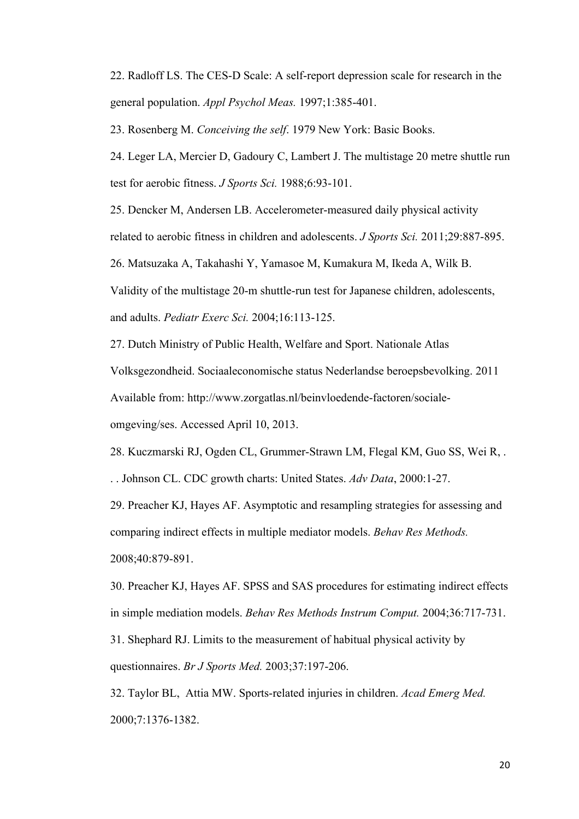22. Radloff LS. The CES-D Scale: A self-report depression scale for research in the general population. *Appl Psychol Meas.* 1997;1:385-401.

23. Rosenberg M. *Conceiving the self*. 1979 New York: Basic Books.

24. Leger LA, Mercier D, Gadoury C, Lambert J. The multistage 20 metre shuttle run test for aerobic fitness. *J Sports Sci.* 1988;6:93-101.

25. Dencker M, Andersen LB. Accelerometer-measured daily physical activity

related to aerobic fitness in children and adolescents. *J Sports Sci.* 2011;29:887-895.

26. Matsuzaka A, Takahashi Y, Yamasoe M, Kumakura M, Ikeda A, Wilk B.

Validity of the multistage 20-m shuttle-run test for Japanese children, adolescents,

and adults. *Pediatr Exerc Sci.* 2004;16:113-125.

27. Dutch Ministry of Public Health, Welfare and Sport. Nationale Atlas

Volksgezondheid. Sociaaleconomische status Nederlandse beroepsbevolking. 2011

Available from: http://www.zorgatlas.nl/beinvloedende-factoren/sociale-

omgeving/ses. Accessed April 10, 2013.

28. Kuczmarski RJ, Ogden CL, Grummer-Strawn LM, Flegal KM, Guo SS, Wei R, .

. . Johnson CL. CDC growth charts: United States. *Adv Data*, 2000:1-27.

29. Preacher KJ, Hayes AF. Asymptotic and resampling strategies for assessing and comparing indirect effects in multiple mediator models. *Behav Res Methods.* 2008;40:879-891.

30. Preacher KJ, Hayes AF. SPSS and SAS procedures for estimating indirect effects in simple mediation models. *Behav Res Methods Instrum Comput.* 2004;36:717-731. 31. Shephard RJ. Limits to the measurement of habitual physical activity by questionnaires. *Br J Sports Med.* 2003;37:197-206.

32. Taylor BL, Attia MW. Sports-related injuries in children. *Acad Emerg Med.* 2000;7:1376-1382.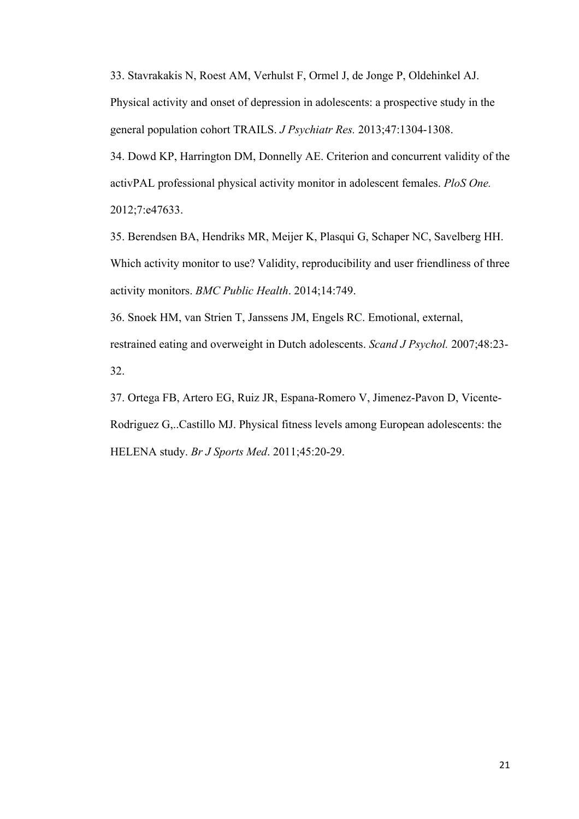33. Stavrakakis N, Roest AM, Verhulst F, Ormel J, de Jonge P, Oldehinkel AJ.

Physical activity and onset of depression in adolescents: a prospective study in the general population cohort TRAILS. *J Psychiatr Res.* 2013;47:1304-1308.

34. Dowd KP, Harrington DM, Donnelly AE. Criterion and concurrent validity of the activPAL professional physical activity monitor in adolescent females. *PloS One.*  2012;7:e47633.

35. Berendsen BA, Hendriks MR, Meijer K, Plasqui G, Schaper NC, Savelberg HH. Which activity monitor to use? Validity, reproducibility and user friendliness of three activity monitors. *BMC Public Health*. 2014;14:749.

36. Snoek HM, van Strien T, Janssens JM, Engels RC. Emotional, external, restrained eating and overweight in Dutch adolescents. *Scand J Psychol.* 2007;48:23- 32.

37. Ortega FB, Artero EG, Ruiz JR, Espana-Romero V, Jimenez-Pavon D, Vicente-Rodriguez G,..Castillo MJ. Physical fitness levels among European adolescents: the HELENA study. *Br J Sports Med*. 2011;45:20-29.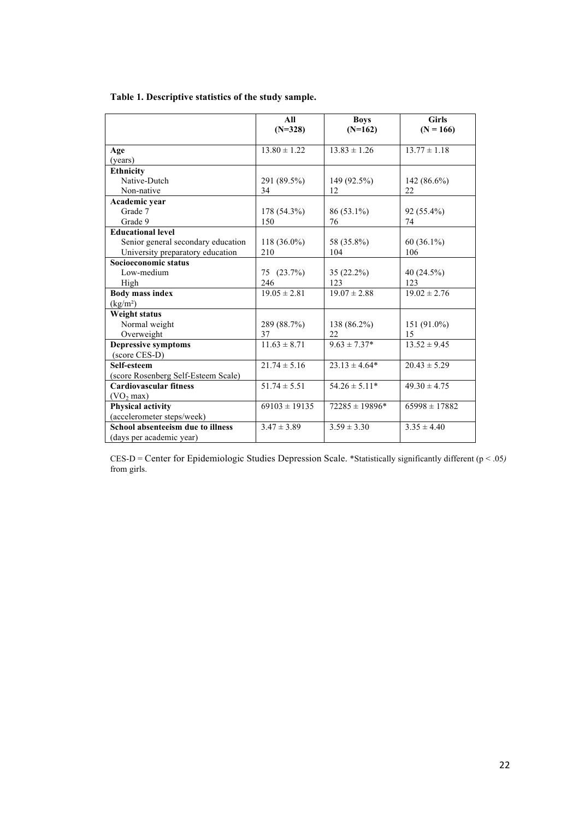| Table 1. Descriptive statistics of the study sample. |
|------------------------------------------------------|
|------------------------------------------------------|

|                                     | All<br>$(N=328)$  | <b>Boys</b><br>$(N=162)$ | <b>Girls</b><br>$(N = 166)$ |
|-------------------------------------|-------------------|--------------------------|-----------------------------|
|                                     |                   |                          |                             |
| Age                                 | $13.80 \pm 1.22$  | $13.83 \pm 1.26$         | $13.77 \pm 1.18$            |
| (years)                             |                   |                          |                             |
| <b>Ethnicity</b>                    |                   |                          |                             |
| Native-Dutch                        | 291 (89.5%)       | 149 (92.5%)              | $142(86.6\%)$               |
| Non-native                          | 34                | 12                       | 22                          |
| Academic year                       |                   |                          |                             |
| Grade 7                             | 178 (54.3%)       | 86 (53.1%)               | 92 (55.4%)                  |
| Grade 9                             | 150               | 76                       | 74                          |
| <b>Educational level</b>            |                   |                          |                             |
| Senior general secondary education  | 118 (36.0%)       | 58 (35.8%)               | 60 (36.1%)                  |
| University preparatory education    | 210               | 104                      | 106                         |
| Socioeconomic status                |                   |                          |                             |
| Low-medium                          | 75 (23.7%)        | 35 (22.2%)               | 40 (24.5%)                  |
| High                                | 246               | 123                      | 123                         |
| <b>Body mass index</b>              | $19.05 \pm 2.81$  | $19.07 \pm 2.88$         | $19.02 \pm 2.76$            |
| (kg/m <sup>2</sup> )                |                   |                          |                             |
| Weight status                       |                   |                          |                             |
| Normal weight                       | 289 (88.7%)       | 138 (86.2%)              | $151(91.0\%)$               |
| Overweight                          | 37                | 22                       | 15                          |
| <b>Depressive symptoms</b>          | $11.63 \pm 8.71$  | $9.63 \pm 7.37*$         | $13.52 \pm 9.45$            |
| (score CES-D)                       |                   |                          |                             |
| Self-esteem                         | $21.74 \pm 5.16$  | $23.13 \pm 4.64*$        | $20.43 \pm 5.29$            |
| (score Rosenberg Self-Esteem Scale) |                   |                          |                             |
| <b>Cardiovascular fitness</b>       | $51.74 \pm 5.51$  | $54.26 \pm 5.11*$        | $49.30 \pm 4.75$            |
| (VO <sub>2</sub> max)               |                   |                          |                             |
| <b>Physical activity</b>            | $69103 \pm 19135$ | $72285 \pm 19896*$       | $65998 \pm 17882$           |
| (accelerometer steps/week)          |                   |                          |                             |
| School absenteeism due to illness   | $3.47 \pm 3.89$   | $3.59 \pm 3.30$          | $3.35 \pm 4.40$             |
| (days per academic year)            |                   |                          |                             |

CES-D = Center for Epidemiologic Studies Depression Scale. \*Statistically significantly different (p < .05*)*  from girls.